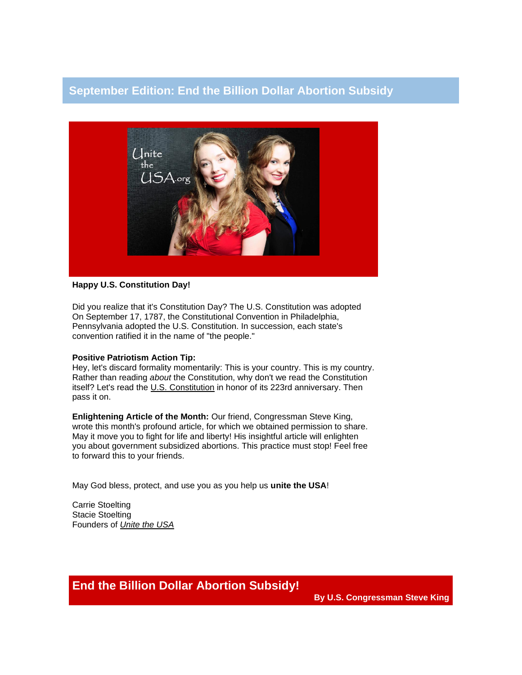## **September Edition: End the Billion Dollar Abortion Subsidy**



## **Happy U.S. Constitution Day!**

Did you realize that it's Constitution Day? The U.S. Constitution was adopted On September 17, 1787, the Constitutional Convention in Philadelphia, Pennsylvania adopted the U.S. Constitution. In succession, each state's convention ratified it in the name of "the people."

## **Positive Patriotism Action Tip:**

Hey, let's discard formality momentarily: This is your country. This is my country. Rather than reading *about* the Constitution, why don't we read the Constitution itself? Let's read the [U.S. Constitution](http://wallbuilders.com/LIBissuesArticles.asp?id=36438) in honor of its 223rd anniversary. Then pass it on.

**Enlightening Article of the Month:** Our friend, Congressman Steve King, wrote this month's profound article, for which we obtained permission to share. May it move you to fight for life and liberty! His insightful article will enlighten you about government subsidized abortions. This practice must stop! Feel free to forward this to your friends.

May God bless, protect, and use you as you help us **unite the USA**!

Carrie Stoelting Stacie Stoelting Founders of *[Unite the USA](http://unitetheusa.org/index.html)*

**End the Billion Dollar Abortion Subsidy!**

**By U.S. Congressman Steve King**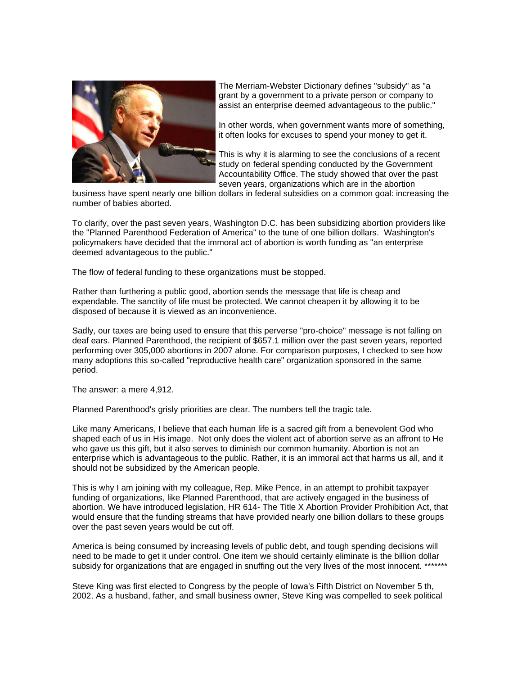

The Merriam-Webster Dictionary defines "subsidy" as "a grant by a government to a private person or company to assist an enterprise deemed advantageous to the public."

In other words, when government wants more of something, it often looks for excuses to spend your money to get it.

This is why it is alarming to see the conclusions of a recent study on federal spending conducted by the Government Accountability Office. The study showed that over the past seven years, organizations which are in the abortion

business have spent nearly one billion dollars in federal subsidies on a common goal: increasing the number of babies aborted.

To clarify, over the past seven years, Washington D.C. has been subsidizing abortion providers like the "Planned Parenthood Federation of America" to the tune of one billion dollars. Washington's policymakers have decided that the immoral act of abortion is worth funding as "an enterprise deemed advantageous to the public."

The flow of federal funding to these organizations must be stopped.

Rather than furthering a public good, abortion sends the message that life is cheap and expendable. The sanctity of life must be protected. We cannot cheapen it by allowing it to be disposed of because it is viewed as an inconvenience.

Sadly, our taxes are being used to ensure that this perverse "pro-choice" message is not falling on deaf ears. Planned Parenthood, the recipient of \$657.1 million over the past seven years, reported performing over 305,000 abortions in 2007 alone. For comparison purposes, I checked to see how many adoptions this so-called "reproductive health care" organization sponsored in the same period.

The answer: a mere 4,912.

Planned Parenthood's grisly priorities are clear. The numbers tell the tragic tale.

Like many Americans, I believe that each human life is a sacred gift from a benevolent God who shaped each of us in His image. Not only does the violent act of abortion serve as an affront to He who gave us this gift, but it also serves to diminish our common humanity. Abortion is not an enterprise which is advantageous to the public. Rather, it is an immoral act that harms us all, and it should not be subsidized by the American people.

This is why I am joining with my colleague, Rep. Mike Pence, in an attempt to prohibit taxpayer funding of organizations, like Planned Parenthood, that are actively engaged in the business of abortion. We have introduced legislation, HR 614- The Title X Abortion Provider Prohibition Act, that would ensure that the funding streams that have provided nearly one billion dollars to these groups over the past seven years would be cut off.

America is being consumed by increasing levels of public debt, and tough spending decisions will need to be made to get it under control. One item we should certainly eliminate is the billion dollar subsidy for organizations that are engaged in snuffing out the very lives of the most innocent. \*

Steve King was first elected to Congress by the people of Iowa's Fifth District on November 5 th, 2002. As a husband, father, and small business owner, Steve King was compelled to seek political